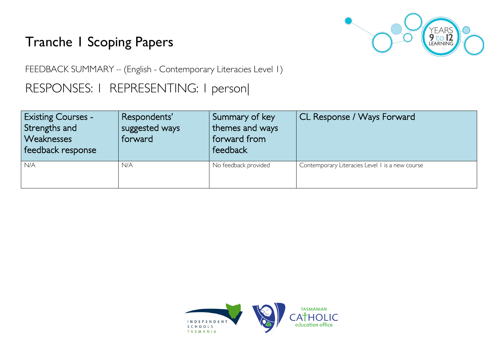# Tranche 1 Scoping Papers



FEEDBACK SUMMARY – (English - Contemporary Literacies Level 1)

## RESPONSES: 1 REPRESENTING: 1 person|

| <b>Existing Courses -</b><br>Strengths and<br><b>Weaknesses</b><br>feedback response | Respondents'<br>suggested ways<br>forward | Summary of key<br>themes and ways<br>forward from<br>feedback | CL Response / Ways Forward                      |
|--------------------------------------------------------------------------------------|-------------------------------------------|---------------------------------------------------------------|-------------------------------------------------|
| N/A                                                                                  | N/A                                       | No feedback provided                                          | Contemporary Literacies Level I is a new course |

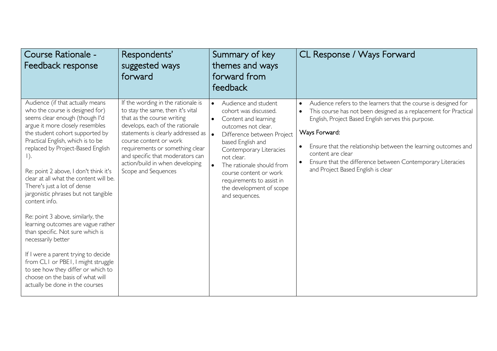| Course Rationale -<br>Feedback response                                                                                                                                                                                                                                                                                                                                                                                                                                                                                                                                                                                                                                                                                                                         | Respondents'<br>suggested ways<br>forward                                                                                                                                                                                                                                                                                                 | Summary of key<br>themes and ways<br>forward from<br>feedback                                                                                                                                                                                                                                                                           | CL Response / Ways Forward                                                                                                                                                                                                                                                                                                                                                                                          |
|-----------------------------------------------------------------------------------------------------------------------------------------------------------------------------------------------------------------------------------------------------------------------------------------------------------------------------------------------------------------------------------------------------------------------------------------------------------------------------------------------------------------------------------------------------------------------------------------------------------------------------------------------------------------------------------------------------------------------------------------------------------------|-------------------------------------------------------------------------------------------------------------------------------------------------------------------------------------------------------------------------------------------------------------------------------------------------------------------------------------------|-----------------------------------------------------------------------------------------------------------------------------------------------------------------------------------------------------------------------------------------------------------------------------------------------------------------------------------------|---------------------------------------------------------------------------------------------------------------------------------------------------------------------------------------------------------------------------------------------------------------------------------------------------------------------------------------------------------------------------------------------------------------------|
| Audience (if that actually means<br>who the course is designed for)<br>seems clear enough (though I'd<br>argue it more closely resembles<br>the student cohort supported by<br>Practical English, which is to be<br>replaced by Project-Based English<br>Re: point 2 above, I don't think it's<br>clear at all what the content will be.<br>There's just a lot of dense<br>jargonistic phrases but not tangible<br>content info.<br>Re: point 3 above, similarly, the<br>learning outcomes are vague rather<br>than specific. Not sure which is<br>necessarily better<br>If I were a parent trying to decide<br>from CLI or PBEI, I might struggle<br>to see how they differ or which to<br>choose on the basis of what will<br>actually be done in the courses | If the wording in the rationale is<br>to stay the same, then it's vital<br>that as the course writing<br>develops, each of the rationale<br>statements is clearly addressed as<br>course content or work<br>requirements or something clear<br>and specific that moderators can<br>action/build in when developing<br>Scope and Sequences | Audience and student<br>$\bullet$<br>cohort was discussed.<br>Content and learning<br>outcomes not clear.<br>Difference between Project<br>based English and<br>Contemporary Literacies<br>not clear.<br>The rationale should from<br>course content or work<br>requirements to assist in<br>the development of scope<br>and sequences. | Audience refers to the learners that the course is designed for<br>$\bullet$<br>This course has not been designed as a replacement for Practical<br>English, Project Based English serves this purpose.<br>Ways Forward:<br>Ensure that the relationship between the learning outcomes and<br>content are clear<br>Ensure that the difference between Contemporary Literacies<br>and Project Based English is clear |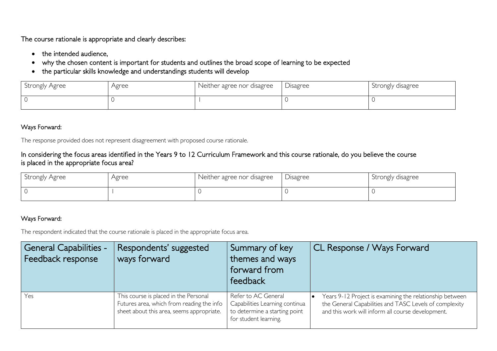The course rationale is appropriate and clearly describes:

- the intended audience,
- why the chosen content is important for students and outlines the broad scope of learning to be expected
- the particular skills knowledge and understandings students will develop

| Strongly Agree | Agree | Neither agree nor disagree | Disagree | Strongly disagree |
|----------------|-------|----------------------------|----------|-------------------|
|                |       |                            |          |                   |

#### Ways Forward:

The response provided does not represent disagreement with proposed course rationale.

### In considering the focus areas identified in the Years 9 to 12 Curriculum Framework and this course rationale, do you believe the course is placed in the appropriate focus area?

| Strongly Agree | Agree | Neither agree nor disagree | Disagree | Strongly disagree |
|----------------|-------|----------------------------|----------|-------------------|
|                |       |                            |          |                   |

#### Ways Forward:

The respondent indicated that the course rationale is placed in the appropriate focus area.

| <b>General Capabilities -</b><br>Feedback response | Respondents' suggested<br>ways forward                                                                                          | Summary of key<br>themes and ways<br>forward from<br>feedback                                                   | <b>CL Response / Ways Forward</b>                                                                                                                                       |
|----------------------------------------------------|---------------------------------------------------------------------------------------------------------------------------------|-----------------------------------------------------------------------------------------------------------------|-------------------------------------------------------------------------------------------------------------------------------------------------------------------------|
| Yes                                                | This course is placed in the Personal<br>Futures area, which from reading the info<br>sheet about this area, seems appropriate. | Refer to AC General<br>Capabilities Learning continua<br>to determine a starting point<br>for student learning. | Years 9-12 Project is examining the relationship between<br>the General Capabilities and TASC Levels of complexity<br>and this work will inform all course development. |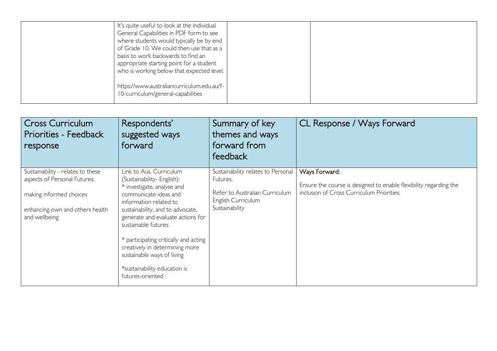| It's quite useful to look at the individual<br>General Capabilities in PDF form to see<br>where students would typically be by end<br>of Grade 10. We could then use that as a<br>basis to work backwards to find an<br>appropriate starting point for a student<br>who is working below that expected level. |  |
|---------------------------------------------------------------------------------------------------------------------------------------------------------------------------------------------------------------------------------------------------------------------------------------------------------------|--|
| https://www.australiancurriculum.edu.au/f-<br>10-curriculum/general-capabilities                                                                                                                                                                                                                              |  |

| <b>Cross Curriculum</b><br>Priorities - Feedback<br>response                                                                                     | Respondents'<br>suggested ways<br>forward                                                                                                                                                                                                                                                                                                                                                           | Summary of key<br>themes and ways<br>forward from<br>feedback                                                            | CL Response / Ways Forward                                                                                                      |
|--------------------------------------------------------------------------------------------------------------------------------------------------|-----------------------------------------------------------------------------------------------------------------------------------------------------------------------------------------------------------------------------------------------------------------------------------------------------------------------------------------------------------------------------------------------------|--------------------------------------------------------------------------------------------------------------------------|---------------------------------------------------------------------------------------------------------------------------------|
| Sustainability - relates to these<br>aspects of Personal Futures:<br>making informed choices<br>enhancing own and others health<br>and wellbeing | Link to Aus. Curriculum<br>(Sustainability- English):<br>* investigate, analyse and<br>communicate ideas and<br>information related to<br>sustainability, and to advocate,<br>generate and evaluate actions for<br>sustainable futures<br>* participating critically and acting<br>creatively in determining more<br>sustainable ways of living<br>*sustainability education is<br>futures-oriented | Sustainability relates to Personal<br>Futures.<br>Refer to Australian Curriculum<br>English Curriculum<br>Sustainability | Ways Forward:<br>Ensure the course is designed to enable flexibility regarding the<br>inclusion of Cross Curriculum Priorities: |